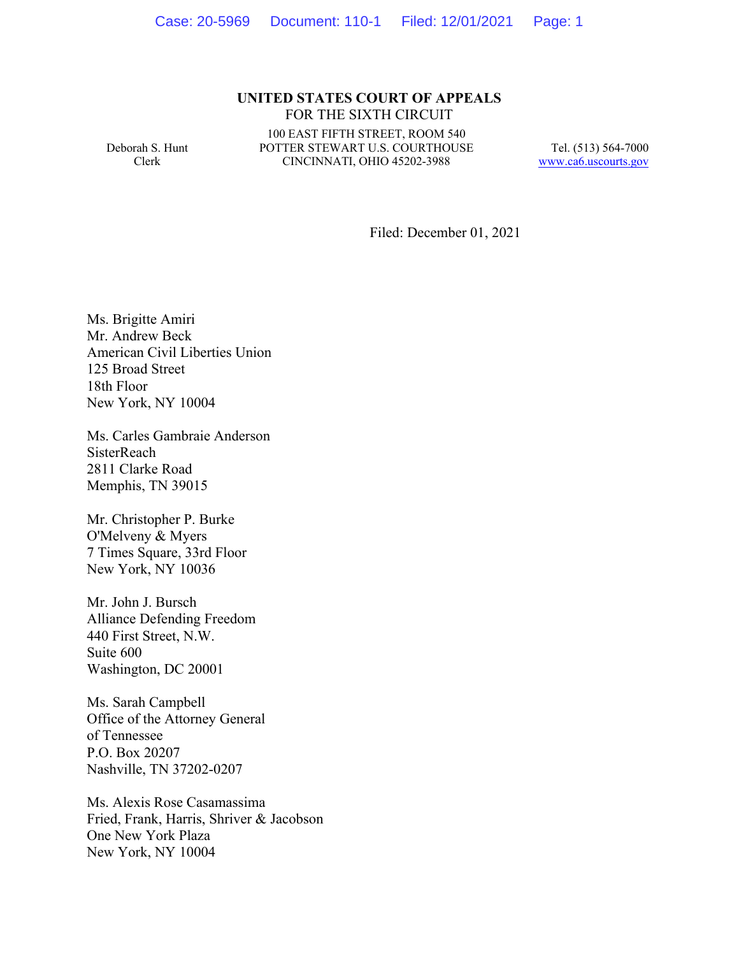## **UNITED STATES COURT OF APPEALS** FOR THE SIXTH CIRCUIT

Deborah S. Hunt Clerk

100 EAST FIFTH STREET, ROOM 540 POTTER STEWART U.S. COURTHOUSE CINCINNATI, OHIO 45202-3988

Tel. (513) 564-7000 www.ca6.uscourts.gov

Filed: December 01, 2021

Ms. Brigitte Amiri Mr. Andrew Beck American Civil Liberties Union 125 Broad Street 18th Floor New York, NY 10004

Ms. Carles Gambraie Anderson **SisterReach** 2811 Clarke Road Memphis, TN 39015

Mr. Christopher P. Burke O'Melveny & Myers 7 Times Square, 33rd Floor New York, NY 10036

Mr. John J. Bursch Alliance Defending Freedom 440 First Street, N.W. Suite 600 Washington, DC 20001

Ms. Sarah Campbell Office of the Attorney General of Tennessee P.O. Box 20207 Nashville, TN 37202-0207

Ms. Alexis Rose Casamassima Fried, Frank, Harris, Shriver & Jacobson One New York Plaza New York, NY 10004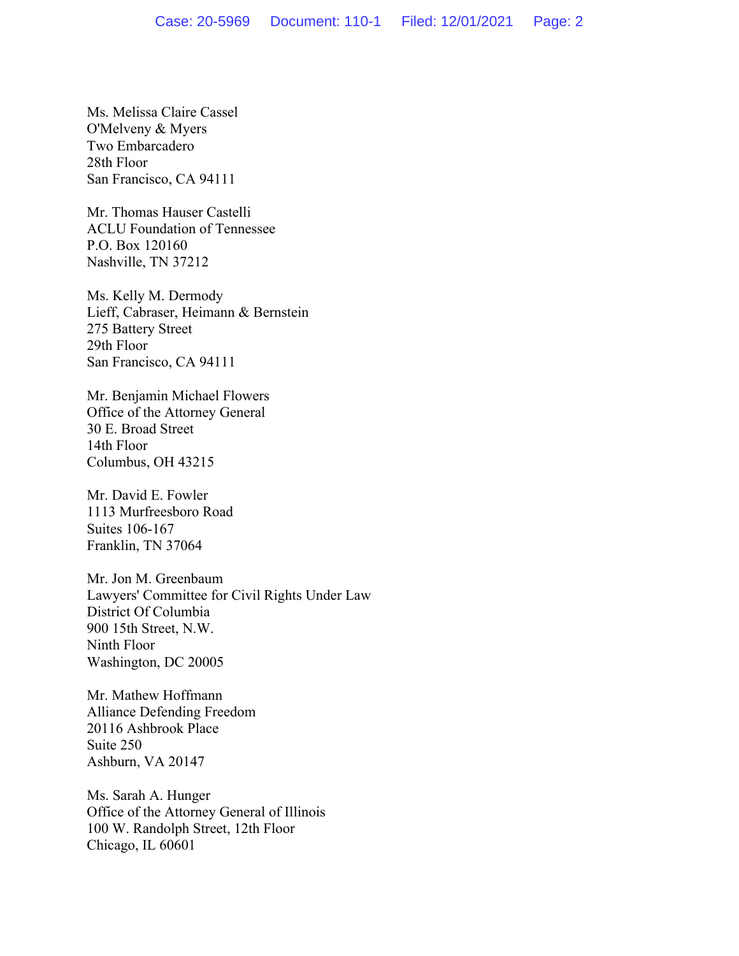Ms. Melissa Claire Cassel O'Melveny & Myers Two Embarcadero 28th Floor San Francisco, CA 94111

Mr. Thomas Hauser Castelli ACLU Foundation of Tennessee P.O. Box 120160 Nashville, TN 37212

Ms. Kelly M. Dermody Lieff, Cabraser, Heimann & Bernstein 275 Battery Street 29th Floor San Francisco, CA 94111

Mr. Benjamin Michael Flowers Office of the Attorney General 30 E. Broad Street 14th Floor Columbus, OH 43215

Mr. David E. Fowler 1113 Murfreesboro Road Suites 106-167 Franklin, TN 37064

Mr. Jon M. Greenbaum Lawyers' Committee for Civil Rights Under Law District Of Columbia 900 15th Street, N.W. Ninth Floor Washington, DC 20005

Mr. Mathew Hoffmann Alliance Defending Freedom 20116 Ashbrook Place Suite 250 Ashburn, VA 20147

Ms. Sarah A. Hunger Office of the Attorney General of Illinois 100 W. Randolph Street, 12th Floor Chicago, IL 60601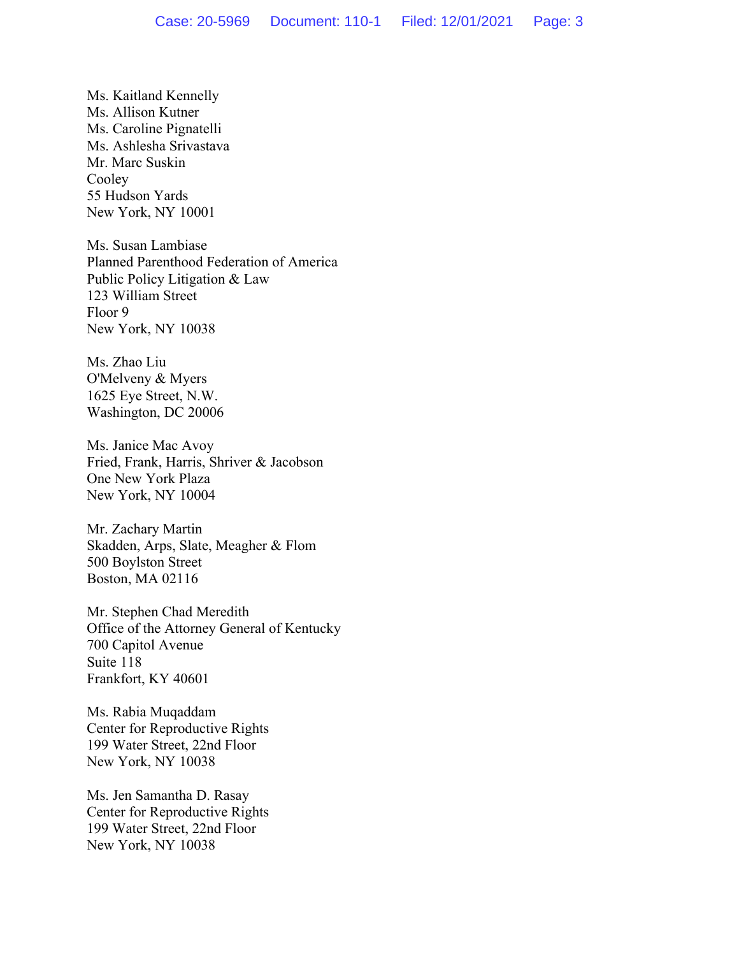Ms. Kaitland Kennelly Ms. Allison Kutner Ms. Caroline Pignatelli Ms. Ashlesha Srivastava Mr. Marc Suskin Cooley 55 Hudson Yards New York, NY 10001

Ms. Susan Lambiase Planned Parenthood Federation of America Public Policy Litigation & Law 123 William Street Floor 9 New York, NY 10038

Ms. Zhao Liu O'Melveny & Myers 1625 Eye Street, N.W. Washington, DC 20006

Ms. Janice Mac Avoy Fried, Frank, Harris, Shriver & Jacobson One New York Plaza New York, NY 10004

Mr. Zachary Martin Skadden, Arps, Slate, Meagher & Flom 500 Boylston Street Boston, MA 02116

Mr. Stephen Chad Meredith Office of the Attorney General of Kentucky 700 Capitol Avenue Suite 118 Frankfort, KY 40601

Ms. Rabia Muqaddam Center for Reproductive Rights 199 Water Street, 22nd Floor New York, NY 10038

Ms. Jen Samantha D. Rasay Center for Reproductive Rights 199 Water Street, 22nd Floor New York, NY 10038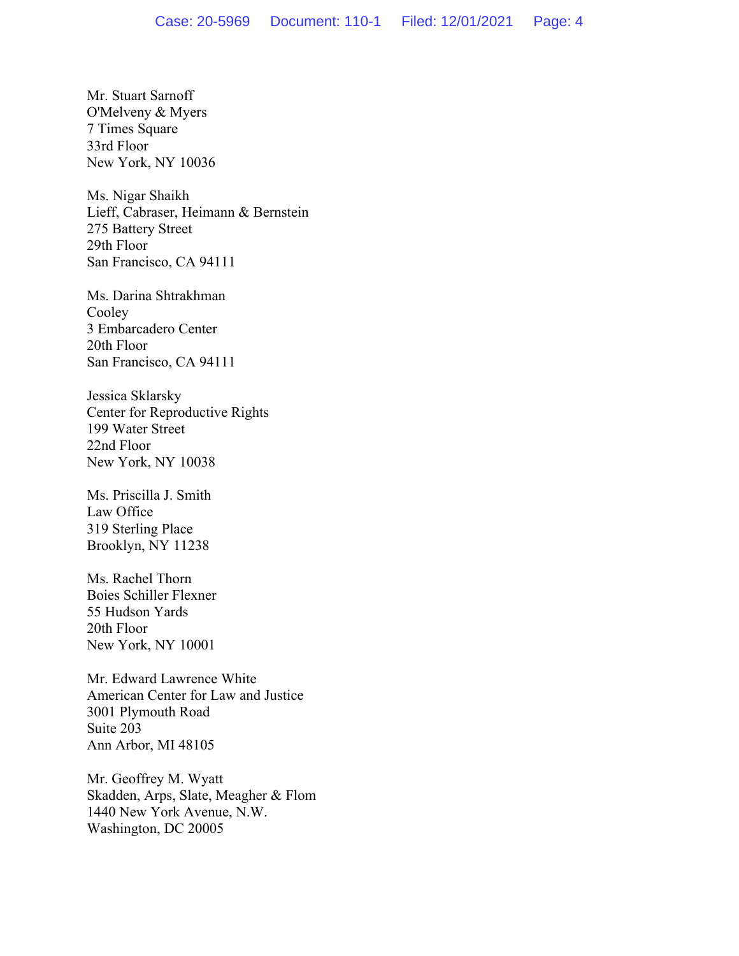Mr. Stuart Sarnoff O'Melveny & Myers 7 Times Square 33rd Floor New York, NY 10036

Ms. Nigar Shaikh Lieff, Cabraser, Heimann & Bernstein 275 Battery Street 29th Floor San Francisco, CA 94111

Ms. Darina Shtrakhman Cooley 3 Embarcadero Center 20th Floor San Francisco, CA 94111

Jessica Sklarsky Center for Reproductive Rights 199 Water Street 22nd Floor New York, NY 10038

Ms. Priscilla J. Smith Law Office 319 Sterling Place Brooklyn, NY 11238

Ms. Rachel Thorn Boies Schiller Flexner 55 Hudson Yards 20th Floor New York, NY 10001

Mr. Edward Lawrence White American Center for Law and Justice 3001 Plymouth Road Suite 203 Ann Arbor, MI 48105

Mr. Geoffrey M. Wyatt Skadden, Arps, Slate, Meagher & Flom 1440 New York Avenue, N.W. Washington, DC 20005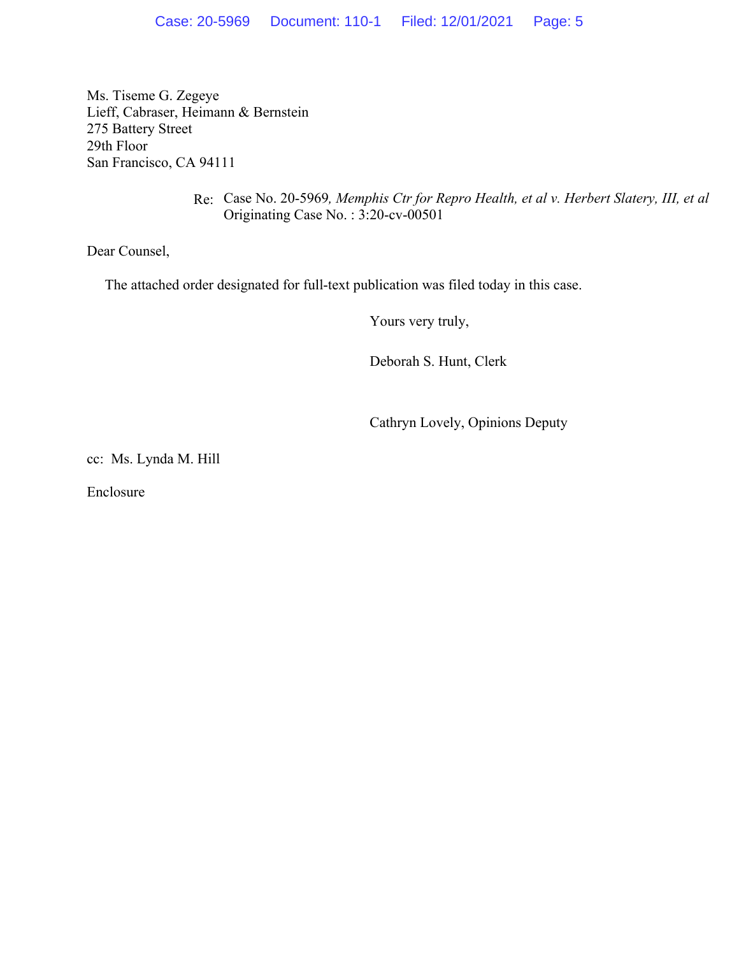Ms. Tiseme G. Zegeye Lieff, Cabraser, Heimann & Bernstein 275 Battery Street 29th Floor San Francisco, CA 94111

> Re: Case No. 20-5969*, Memphis Ctr for Repro Health, et al v. Herbert Slatery, III, et al* Originating Case No. : 3:20-cv-00501

Dear Counsel,

The attached order designated for full-text publication was filed today in this case.

Yours very truly,

Deborah S. Hunt, Clerk

Cathryn Lovely, Opinions Deputy

cc: Ms. Lynda M. Hill

Enclosure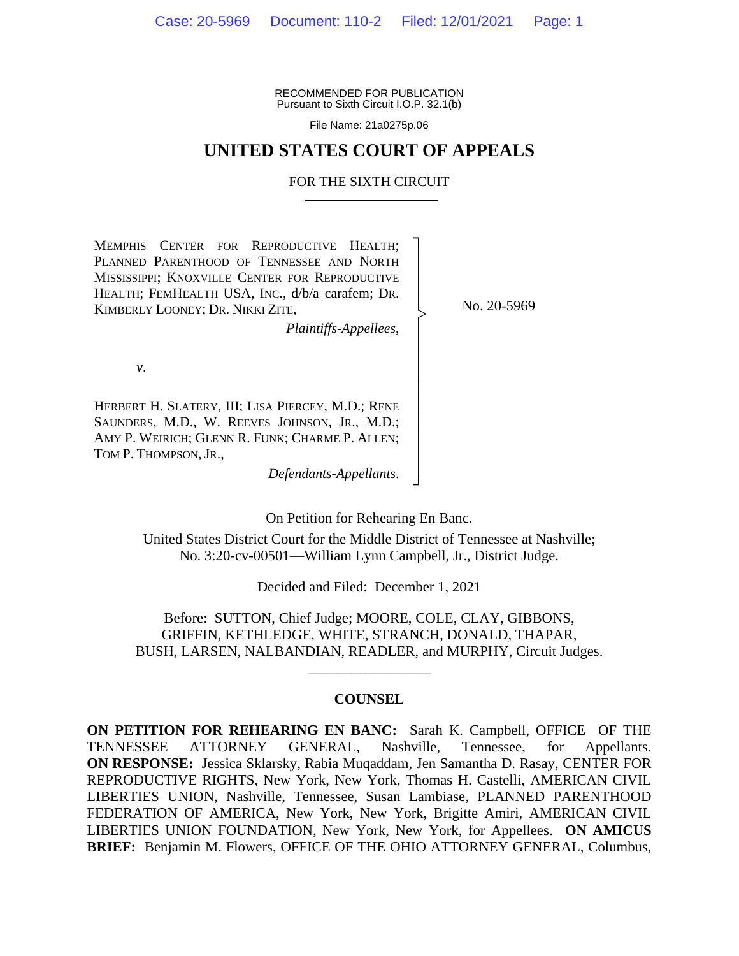RECOMMENDED FOR PUBLICATION Pursuant to Sixth Circuit I.O.P. 32.1(b)

File Name: 21a0275p.06

# **UNITED STATES COURT OF APPEALS**

#### FOR THE SIXTH CIRCUIT

┐ │ │ │ │ │ │ │ │ │ │ │ │ │ │ ┘

|<br>|<br>|

MEMPHIS CENTER FOR REPRODUCTIVE HEALTH; PLANNED PARENTHOOD OF TENNESSEE AND NORTH MISSISSIPPI; KNOXVILLE CENTER FOR REPRODUCTIVE HEALTH; FEMHEALTH USA, INC., d/b/a carafem; DR. KIMBERLY LOONEY; DR. NIKKI ZITE,

*Plaintiffs-Appellees*,

No. 20-5969

*v*.

HERBERT H. SLATERY, III; LISA PIERCEY, M.D.; RENE SAUNDERS, M.D., W. REEVES JOHNSON, JR., M.D.; AMY P. WEIRICH; GLENN R. FUNK; CHARME P. ALLEN; TOM P. THOMPSON, JR.,

*Defendants-Appellants*.

On Petition for Rehearing En Banc.

United States District Court for the Middle District of Tennessee at Nashville; No. 3:20-cv-00501—William Lynn Campbell, Jr., District Judge.

Decided and Filed: December 1, 2021

Before: SUTTON, Chief Judge; MOORE, COLE, CLAY, GIBBONS, GRIFFIN, KETHLEDGE, WHITE, STRANCH, DONALD, THAPAR, BUSH, LARSEN, NALBANDIAN, READLER, and MURPHY, Circuit Judges.

\_\_\_\_\_\_\_\_\_\_\_\_\_\_\_\_\_

## **COUNSEL**

**ON PETITION FOR REHEARING EN BANC:** Sarah K. Campbell, OFFICE OF THE TENNESSEE ATTORNEY GENERAL, Nashville, Tennessee, for Appellants. **ON RESPONSE:** Jessica Sklarsky, Rabia Muqaddam, Jen Samantha D. Rasay, CENTER FOR REPRODUCTIVE RIGHTS, New York, New York, Thomas H. Castelli, AMERICAN CIVIL LIBERTIES UNION, Nashville, Tennessee, Susan Lambiase, PLANNED PARENTHOOD FEDERATION OF AMERICA, New York, New York, Brigitte Amiri, AMERICAN CIVIL LIBERTIES UNION FOUNDATION, New York, New York, for Appellees. **ON AMICUS BRIEF:** Benjamin M. Flowers, OFFICE OF THE OHIO ATTORNEY GENERAL, Columbus,